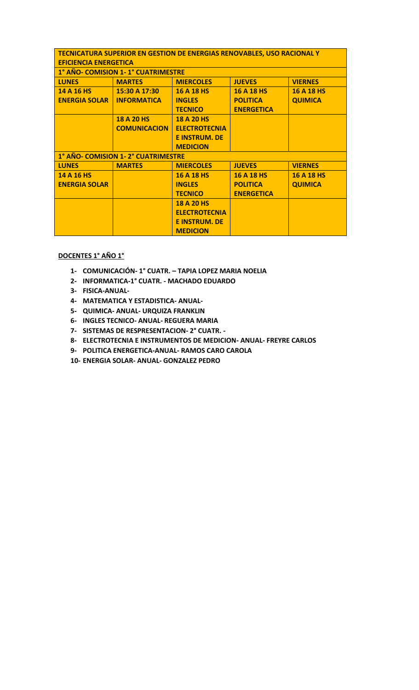| <b>TECNICATURA SUPERIOR EN GESTION DE ENERGIAS RENOVABLES, USO RACIONAL Y</b> |                     |                      |                   |                   |  |  |  |
|-------------------------------------------------------------------------------|---------------------|----------------------|-------------------|-------------------|--|--|--|
| <b>EFICIENCIA ENERGETICA</b>                                                  |                     |                      |                   |                   |  |  |  |
| 1° AÑO- COMISION 1-1° CUATRIMESTRE                                            |                     |                      |                   |                   |  |  |  |
| <b>LUNES</b>                                                                  | <b>MARTES</b>       | <b>MIERCOLES</b>     | <b>JUEVES</b>     | <b>VIERNES</b>    |  |  |  |
| 14 A 16 HS                                                                    | 15:30 A 17:30       | 16 A 18 HS           | 16 A 18 HS        | <b>16 A 18 HS</b> |  |  |  |
| <b>ENERGIA SOLAR</b>                                                          | <b>INFORMATICA</b>  | <b>INGLES</b>        | <b>POLITICA</b>   | <b>QUIMICA</b>    |  |  |  |
|                                                                               |                     | <b>TECNICO</b>       | <b>ENERGETICA</b> |                   |  |  |  |
|                                                                               | <b>18 A 20 HS</b>   | 18 A 20 HS           |                   |                   |  |  |  |
|                                                                               | <b>COMUNICACION</b> | <b>ELECTROTECNIA</b> |                   |                   |  |  |  |
|                                                                               |                     | <b>E INSTRUM, DE</b> |                   |                   |  |  |  |
|                                                                               |                     | <b>MEDICION</b>      |                   |                   |  |  |  |
| 1° AÑO- COMISION 1-2° CUATRIMESTRE                                            |                     |                      |                   |                   |  |  |  |
| <b>LUNES</b>                                                                  | <b>MARTES</b>       | <b>MIERCOLES</b>     | <b>JUEVES</b>     | <b>VIERNES</b>    |  |  |  |
| 14 A 16 HS                                                                    |                     | 16 A 18 HS           | 16 A 18 HS        | <b>16 A 18 HS</b> |  |  |  |
| <b>ENERGIA SOLAR</b>                                                          |                     | <b>INGLES</b>        | <b>POLITICA</b>   | <b>QUIMICA</b>    |  |  |  |
|                                                                               |                     | <b>TECNICO</b>       | <b>ENERGETICA</b> |                   |  |  |  |
|                                                                               |                     | <b>18 A 20 HS</b>    |                   |                   |  |  |  |
|                                                                               |                     | <b>ELECTROTECNIA</b> |                   |                   |  |  |  |
|                                                                               |                     | <b>E INSTRUM, DE</b> |                   |                   |  |  |  |
|                                                                               |                     | <b>MEDICION</b>      |                   |                   |  |  |  |

## **DOCENTES 1° AÑO 1°**

- **1- COMUNICACIÓN- 1° CUATR. – TAPIA LOPEZ MARIA NOELIA**
- **2- INFORMATICA-1° CUATR. - MACHADO EDUARDO**
- **3- FISICA-ANUAL-**
- **4- MATEMATICA Y ESTADISTICA- ANUAL-**
- **5- QUIMICA- ANUAL- URQUIZA FRANKLIN**
- **6- INGLES TECNICO- ANUAL- REGUERA MARIA**
- **7- SISTEMAS DE RESPRESENTACION- 2° CUATR. -**
- **8- ELECTROTECNIA E INSTRUMENTOS DE MEDICION- ANUAL- FREYRE CARLOS**
- **9- POLITICA ENERGETICA-ANUAL- RAMOS CARO CAROLA**
- **10- ENERGIA SOLAR- ANUAL- GONZALEZ PEDRO**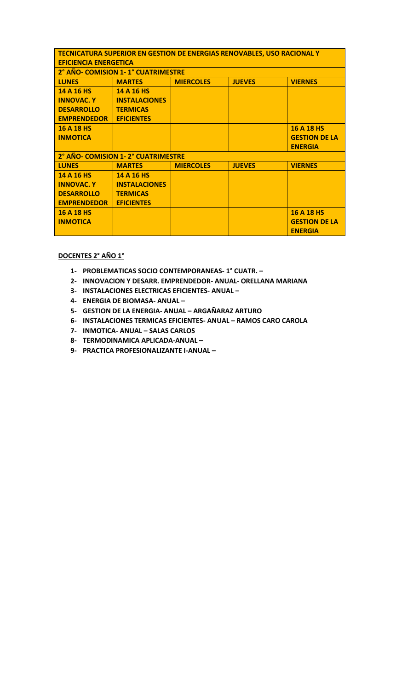| <b>TECNICATURA SUPERIOR EN GESTION DE ENERGIAS RENOVABLES, USO RACIONAL Y</b> |                  |               |                      |  |  |  |  |
|-------------------------------------------------------------------------------|------------------|---------------|----------------------|--|--|--|--|
| <b>EFICIENCIA ENERGETICA</b>                                                  |                  |               |                      |  |  |  |  |
| 2° AÑO- COMISION 1-1° CUATRIMESTRE                                            |                  |               |                      |  |  |  |  |
| <b>MARTES</b>                                                                 | <b>MIERCOLES</b> | <b>JUEVES</b> | <b>VIERNES</b>       |  |  |  |  |
| 14 A 16 HS                                                                    |                  |               |                      |  |  |  |  |
| <b>INSTALACIONES</b>                                                          |                  |               |                      |  |  |  |  |
| <b>TERMICAS</b>                                                               |                  |               |                      |  |  |  |  |
| <b>EFICIENTES</b>                                                             |                  |               |                      |  |  |  |  |
|                                                                               |                  |               | <b>16 A 18 HS</b>    |  |  |  |  |
|                                                                               |                  |               | <b>GESTION DE LA</b> |  |  |  |  |
|                                                                               |                  |               | <b>ENERGIA</b>       |  |  |  |  |
| 2° AÑO- COMISION 1-2° CUATRIMESTRE                                            |                  |               |                      |  |  |  |  |
| <b>MARTES</b>                                                                 | <b>MIERCOLES</b> | <b>JUEVES</b> | <b>VIERNES</b>       |  |  |  |  |
| 14 A 16 HS                                                                    |                  |               |                      |  |  |  |  |
| <b>INSTALACIONES</b>                                                          |                  |               |                      |  |  |  |  |
| <b>TERMICAS</b>                                                               |                  |               |                      |  |  |  |  |
| <b>EFICIENTES</b>                                                             |                  |               |                      |  |  |  |  |
|                                                                               |                  |               | 16 A 18 HS           |  |  |  |  |
|                                                                               |                  |               | <b>GESTION DE LA</b> |  |  |  |  |
|                                                                               |                  |               | <b>ENERGIA</b>       |  |  |  |  |
|                                                                               |                  |               |                      |  |  |  |  |

## **DOCENTES 2° AÑO 1°**

- **1- PROBLEMATICAS SOCIO CONTEMPORANEAS- 1° CUATR. –**
- **2- INNOVACION Y DESARR. EMPRENDEDOR- ANUAL- ORELLANA MARIANA**
- **3- INSTALACIONES ELECTRICAS EFICIENTES- ANUAL –**
- **4- ENERGIA DE BIOMASA- ANUAL –**
- **5- GESTION DE LA ENERGIA- ANUAL – ARGAÑARAZ ARTURO**
- **6- INSTALACIONES TERMICAS EFICIENTES- ANUAL – RAMOS CARO CAROLA**
- **7- INMOTICA- ANUAL – SALAS CARLOS**
- **8- TERMODINAMICA APLICADA-ANUAL –**
- **9- PRACTICA PROFESIONALIZANTE I-ANUAL –**